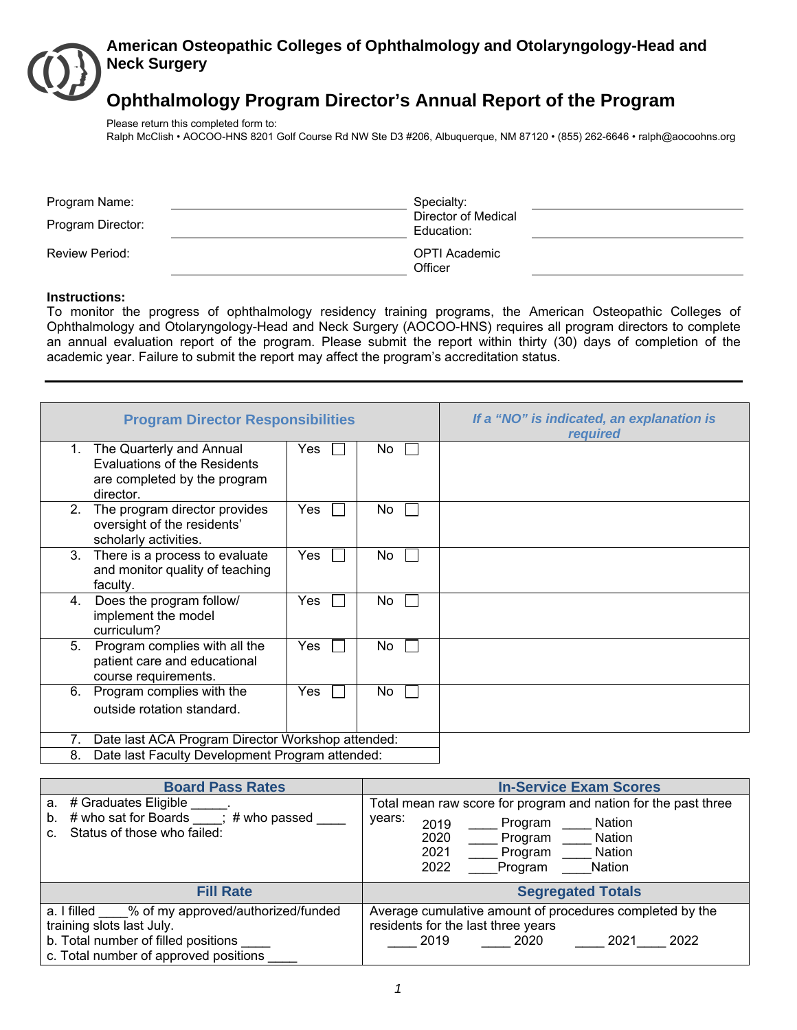# **American Osteopathic Colleges of Ophthalmology and Otolaryngology-Head and Neck Surgery**

# **Ophthalmology Program Director's Annual Report of the Program**

Please return this completed form to:

Ralph McClish • AOCOO-HNS 8201 Golf Course Rd NW Ste D3 #206, Albuquerque, NM 87120 • (855) 262-6646 • ralph@aocoohns.org

| Program Name:<br>Program Director: | Specialty:<br>Director of Medical<br>Education: |  |
|------------------------------------|-------------------------------------------------|--|
| <b>Review Period:</b>              | OPTI Academic<br>Officer                        |  |

#### **Instructions:**

To monitor the progress of ophthalmology residency training programs, the American Osteopathic Colleges of Ophthalmology and Otolaryngology-Head and Neck Surgery (AOCOO-HNS) requires all program directors to complete an annual evaluation report of the program. Please submit the report within thirty (30) days of completion of the academic year. Failure to submit the report may affect the program's accreditation status.

|                | <b>Program Director Responsibilities</b>                                                                     | If a "NO" is indicated, an explanation is<br>required |    |  |
|----------------|--------------------------------------------------------------------------------------------------------------|-------------------------------------------------------|----|--|
| $1_{-}$        | The Quarterly and Annual<br><b>Evaluations of the Residents</b><br>are completed by the program<br>director. | Yes                                                   | No |  |
| 2.             | The program director provides<br>oversight of the residents'<br>scholarly activities.                        | Yes                                                   | No |  |
| 3 <sub>1</sub> | There is a process to evaluate<br>and monitor quality of teaching<br>faculty.                                | Yes                                                   | No |  |
| 4.             | Does the program follow/<br>implement the model<br>curriculum?                                               | Yes                                                   | No |  |
| 5.             | Program complies with all the<br>patient care and educational<br>course requirements.                        | Yes                                                   | No |  |
| 6.             | Program complies with the<br>outside rotation standard.                                                      | Yes                                                   | No |  |
| 7.             | Date last ACA Program Director Workshop attended:                                                            |                                                       |    |  |
| 8.             | Date last Faculty Development Program attended:                                                              |                                                       |    |  |

| <b>Board Pass Rates</b>                                                                                                                                     | <b>In-Service Exam Scores</b>                                                                                                                                                                    |
|-------------------------------------------------------------------------------------------------------------------------------------------------------------|--------------------------------------------------------------------------------------------------------------------------------------------------------------------------------------------------|
| a. # Graduates Eligible<br>$\#$ who sat for Boards $\qquad$ ;<br># who passed<br>b.<br>Status of those who failed:                                          | Total mean raw score for program and nation for the past three<br>years:<br>Program<br>Nation<br>2019<br>2020<br>Program ___<br>Nation<br>2021<br>Program<br>Nation<br>2022<br>Program<br>Nation |
| <b>Fill Rate</b>                                                                                                                                            | <b>Segregated Totals</b>                                                                                                                                                                         |
| a. I filled % of my approved/authorized/funded<br>training slots last July.<br>b. Total number of filled positions<br>c. Total number of approved positions | Average cumulative amount of procedures completed by the<br>residents for the last three years<br>2021<br>2022<br>2020<br>2019                                                                   |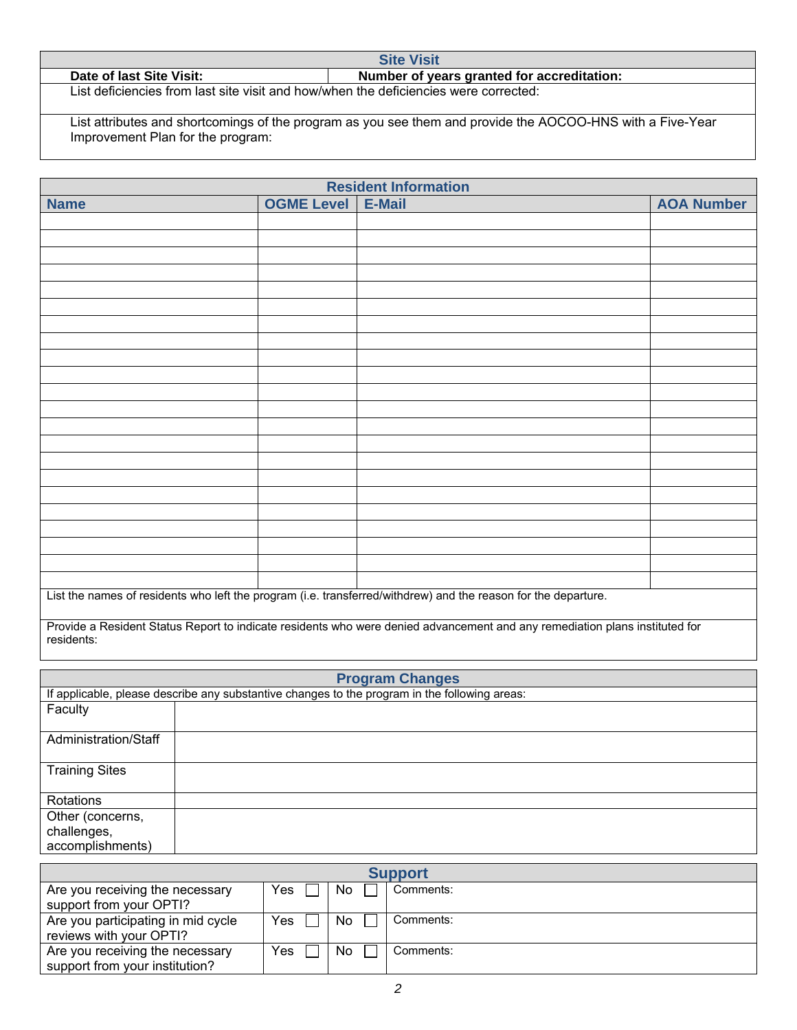Date of last Site Visit: **Number of years granted for accreditation:** List deficiencies from last site visit and how/when the deficiencies were corrected:

List attributes and shortcomings of the program as you see them and provide the AOCOO-HNS with a Five-Year Improvement Plan for the program:

**Site Visit** 

| <b>Resident Information</b>                                                                                    |                   |               |                   |  |  |  |
|----------------------------------------------------------------------------------------------------------------|-------------------|---------------|-------------------|--|--|--|
| <b>Name</b>                                                                                                    | <b>OGME Level</b> | <b>E-Mail</b> | <b>AOA Number</b> |  |  |  |
|                                                                                                                |                   |               |                   |  |  |  |
|                                                                                                                |                   |               |                   |  |  |  |
|                                                                                                                |                   |               |                   |  |  |  |
|                                                                                                                |                   |               |                   |  |  |  |
|                                                                                                                |                   |               |                   |  |  |  |
|                                                                                                                |                   |               |                   |  |  |  |
|                                                                                                                |                   |               |                   |  |  |  |
|                                                                                                                |                   |               |                   |  |  |  |
|                                                                                                                |                   |               |                   |  |  |  |
|                                                                                                                |                   |               |                   |  |  |  |
|                                                                                                                |                   |               |                   |  |  |  |
|                                                                                                                |                   |               |                   |  |  |  |
|                                                                                                                |                   |               |                   |  |  |  |
|                                                                                                                |                   |               |                   |  |  |  |
|                                                                                                                |                   |               |                   |  |  |  |
|                                                                                                                |                   |               |                   |  |  |  |
|                                                                                                                |                   |               |                   |  |  |  |
|                                                                                                                |                   |               |                   |  |  |  |
|                                                                                                                |                   |               |                   |  |  |  |
|                                                                                                                |                   |               |                   |  |  |  |
|                                                                                                                |                   |               |                   |  |  |  |
|                                                                                                                |                   |               |                   |  |  |  |
| List the names of residents who left the program (i.e. transferred/withdrew) and the reason for the departure. |                   |               |                   |  |  |  |

Provide a Resident Status Report to indicate residents who were denied advancement and any remediation plans instituted for residents:

|                       | <b>Program Changes</b>                                                                        |  |  |  |  |  |  |
|-----------------------|-----------------------------------------------------------------------------------------------|--|--|--|--|--|--|
|                       | If applicable, please describe any substantive changes to the program in the following areas: |  |  |  |  |  |  |
| Faculty               |                                                                                               |  |  |  |  |  |  |
| Administration/Staff  |                                                                                               |  |  |  |  |  |  |
| <b>Training Sites</b> |                                                                                               |  |  |  |  |  |  |
| Rotations             |                                                                                               |  |  |  |  |  |  |
| Other (concerns,      |                                                                                               |  |  |  |  |  |  |
| challenges,           |                                                                                               |  |  |  |  |  |  |
| accomplishments)      |                                                                                               |  |  |  |  |  |  |

| <b>Support</b>                     |      |    |           |  |  |
|------------------------------------|------|----|-----------|--|--|
| Are you receiving the necessary    | Yes  | No | Comments: |  |  |
| support from your OPTI?            |      |    |           |  |  |
| Are you participating in mid cycle | Yes  | No | Comments: |  |  |
| reviews with your OPTI?            |      |    |           |  |  |
| Are you receiving the necessary    | Yes. | No | Comments: |  |  |
| support from your institution?     |      |    |           |  |  |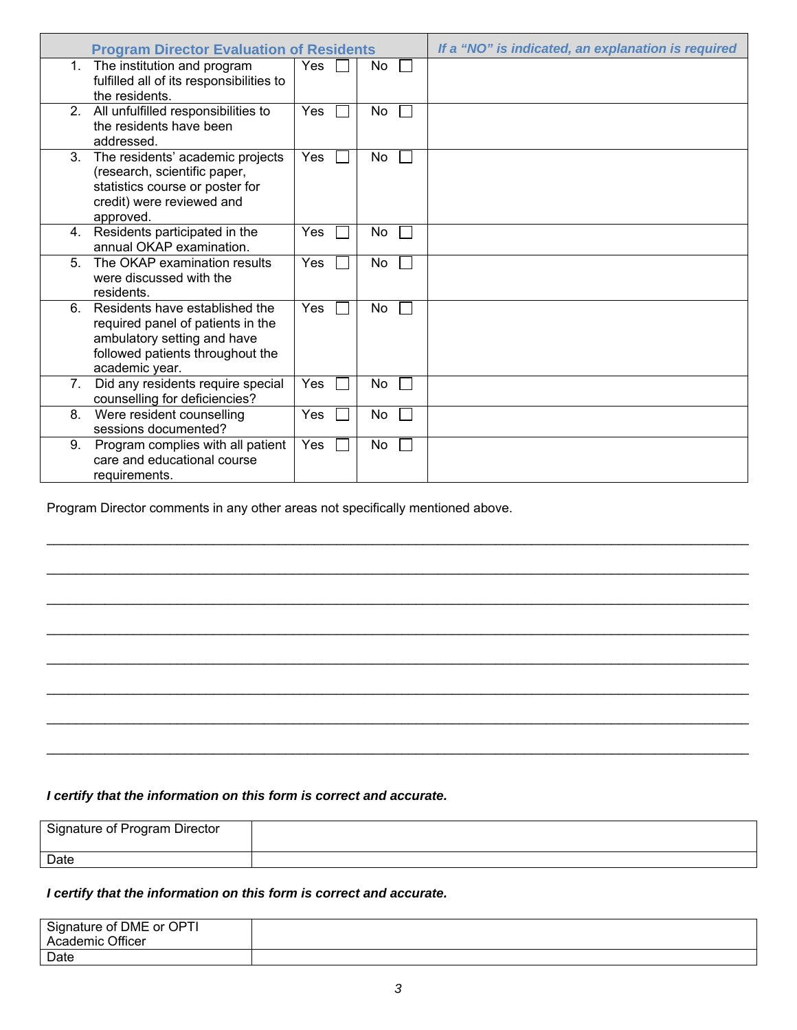|                | <b>Program Director Evaluation of Residents</b>                                                                                                          |            |    | If a "NO" is indicated, an explanation is required |
|----------------|----------------------------------------------------------------------------------------------------------------------------------------------------------|------------|----|----------------------------------------------------|
| 1.             | The institution and program<br>fulfilled all of its responsibilities to<br>the residents.                                                                | <b>Yes</b> | No |                                                    |
| 2 <sub>1</sub> | All unfulfilled responsibilities to<br>the residents have been<br>addressed.                                                                             | Yes        | No |                                                    |
| 3.             | The residents' academic projects<br>(research, scientific paper,<br>statistics course or poster for<br>credit) were reviewed and<br>approved.            | Yes        | No |                                                    |
| 4.             | Residents participated in the<br>annual OKAP examination.                                                                                                | Yes        | No |                                                    |
| 5 <sub>1</sub> | The OKAP examination results<br>were discussed with the<br>residents.                                                                                    | Yes        | No |                                                    |
| 6.             | Residents have established the<br>required panel of patients in the<br>ambulatory setting and have<br>followed patients throughout the<br>academic year. | Yes        | No |                                                    |
| 7.             | Did any residents require special<br>counselling for deficiencies?                                                                                       | Yes        | No |                                                    |
| 8.             | Were resident counselling<br>sessions documented?                                                                                                        | <b>Yes</b> | No |                                                    |
| 9.             | Program complies with all patient<br>care and educational course<br>requirements.                                                                        | Yes        | No |                                                    |

\_\_\_\_\_\_\_\_\_\_\_\_\_\_\_\_\_\_\_\_\_\_\_\_\_\_\_\_\_\_\_\_\_\_\_\_\_\_\_\_\_\_\_\_\_\_\_\_\_\_\_\_\_\_\_\_\_\_\_\_\_\_\_\_\_\_\_\_\_\_\_\_\_\_\_\_\_\_\_\_\_\_\_\_\_\_\_\_\_\_\_\_\_\_\_\_\_

\_\_\_\_\_\_\_\_\_\_\_\_\_\_\_\_\_\_\_\_\_\_\_\_\_\_\_\_\_\_\_\_\_\_\_\_\_\_\_\_\_\_\_\_\_\_\_\_\_\_\_\_\_\_\_\_\_\_\_\_\_\_\_\_\_\_\_\_\_\_\_\_\_\_\_\_\_\_\_\_\_\_\_\_\_\_\_\_\_\_\_\_\_\_\_\_\_

\_\_\_\_\_\_\_\_\_\_\_\_\_\_\_\_\_\_\_\_\_\_\_\_\_\_\_\_\_\_\_\_\_\_\_\_\_\_\_\_\_\_\_\_\_\_\_\_\_\_\_\_\_\_\_\_\_\_\_\_\_\_\_\_\_\_\_\_\_\_\_\_\_\_\_\_\_\_\_\_\_\_\_\_\_\_\_\_\_\_\_\_\_\_\_\_\_

\_\_\_\_\_\_\_\_\_\_\_\_\_\_\_\_\_\_\_\_\_\_\_\_\_\_\_\_\_\_\_\_\_\_\_\_\_\_\_\_\_\_\_\_\_\_\_\_\_\_\_\_\_\_\_\_\_\_\_\_\_\_\_\_\_\_\_\_\_\_\_\_\_\_\_\_\_\_\_\_\_\_\_\_\_\_\_\_\_\_\_\_\_\_\_\_\_

\_\_\_\_\_\_\_\_\_\_\_\_\_\_\_\_\_\_\_\_\_\_\_\_\_\_\_\_\_\_\_\_\_\_\_\_\_\_\_\_\_\_\_\_\_\_\_\_\_\_\_\_\_\_\_\_\_\_\_\_\_\_\_\_\_\_\_\_\_\_\_\_\_\_\_\_\_\_\_\_\_\_\_\_\_\_\_\_\_\_\_\_\_\_\_\_\_

\_\_\_\_\_\_\_\_\_\_\_\_\_\_\_\_\_\_\_\_\_\_\_\_\_\_\_\_\_\_\_\_\_\_\_\_\_\_\_\_\_\_\_\_\_\_\_\_\_\_\_\_\_\_\_\_\_\_\_\_\_\_\_\_\_\_\_\_\_\_\_\_\_\_\_\_\_\_\_\_\_\_\_\_\_\_\_\_\_\_\_\_\_\_\_\_\_

\_\_\_\_\_\_\_\_\_\_\_\_\_\_\_\_\_\_\_\_\_\_\_\_\_\_\_\_\_\_\_\_\_\_\_\_\_\_\_\_\_\_\_\_\_\_\_\_\_\_\_\_\_\_\_\_\_\_\_\_\_\_\_\_\_\_\_\_\_\_\_\_\_\_\_\_\_\_\_\_\_\_\_\_\_\_\_\_\_\_\_\_\_\_\_\_\_

\_\_\_\_\_\_\_\_\_\_\_\_\_\_\_\_\_\_\_\_\_\_\_\_\_\_\_\_\_\_\_\_\_\_\_\_\_\_\_\_\_\_\_\_\_\_\_\_\_\_\_\_\_\_\_\_\_\_\_\_\_\_\_\_\_\_\_\_\_\_\_\_\_\_\_\_\_\_\_\_\_\_\_\_\_\_\_\_\_\_\_\_\_\_\_\_\_

Program Director comments in any other areas not specifically mentioned above.

# *I certify that the information on this form is correct and accurate.*

| Signature of Program Director |  |
|-------------------------------|--|
| Date                          |  |

# *I certify that the information on this form is correct and accurate.*

| Signature of DME or OPTI<br>Academic Officer |  |
|----------------------------------------------|--|
| Date                                         |  |